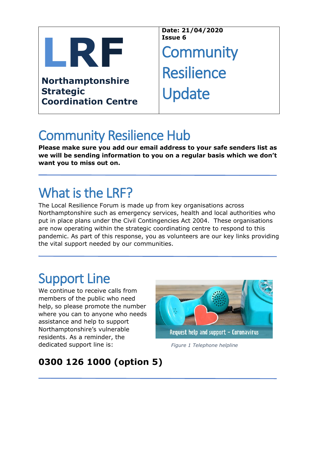

**Northamptonshire Strategic Coordination Centre**

**Date: 21/04/2020 Issue 6**

**Community Resilience** Update

## Community Resilience Hub

**Please make sure you add our email address to your safe senders list as we will be sending information to you on a regular basis which we don't want you to miss out on.**

# What is the LRF?

The Local Resilience Forum is made up from key organisations across Northamptonshire such as emergency services, health and local authorities who put in place plans under the Civil Contingencies Act 2004. These organisations are now operating within the strategic coordinating centre to respond to this pandemic. As part of this response, you as volunteers are our key links providing the vital support needed by our communities.

## Support Line

We continue to receive calls from members of the public who need help, so please promote the number where you can to anyone who needs assistance and help to support Northamptonshire's vulnerable residents. As a reminder, the dedicated support line is:



*Figure 1 Telephone helpline*

### **0300 126 1000 (option 5)**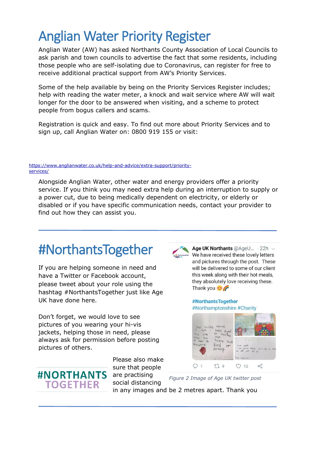## Anglian Water Priority Register

Anglian Water (AW) has asked Northants County Association of Local Councils to ask parish and town councils to advertise the fact that some residents, including those people who are self-isolating due to Coronavirus, can register for free to receive additional practical support from AW's Priority Services.

Some of the help available by being on the Priority Services Register includes; help with reading the water meter, a knock and wait service where AW will wait longer for the door to be answered when visiting, and a scheme to protect people from bogus callers and scams.

Registration is quick and easy. To find out more about Priority Services and to sign up, call Anglian Water on: 0800 919 155 or visit:

#### htt[ps://www.ang](https://www.anglianwater.co.uk/help-and-advice/extra-support/priority-services/)lianwater.co.uk/help-and-advice/extra-support/priorityservices/

Alongside Anglian Water, other water and energy providers offer a priority service. If you think you may need extra help during an interruption to supply or a power cut, due to being medically dependent on electricity, or elderly or disabled or if you have specific communication needs, contact your provider to find out how they can assist you.

## #NorthantsTogether

If you are helping someone in need and have a Twitter or Facebook account, please tweet about your role using the hashtag #NorthantsTogether just like Age UK have done here.

Don't forget, we would love to see pictures of you wearing your hi-vis jackets, helping those in need, please always ask for permission before posting pictures of others.



Please also make sure that people are practising social distancing

Age UK Northants @AgeU... . 22h ~ We have received these lovely letters and pictures through the post. These will be delivered to some of our client this week along with their hot meals, they absolutely love receiving these. Thank you  $\circ$ 

#NorthantsTogether #Northamptonshire #Charity



*Figure 2 Image of Age UK twitter post* 

in any images and be 2 metres apart. Thank you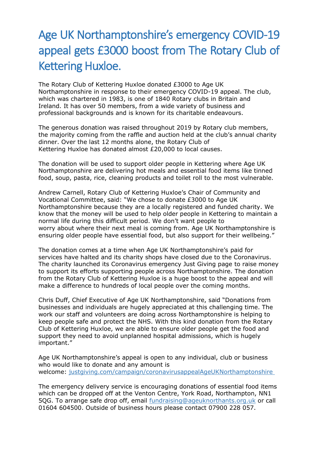## Age UK Northamptonshire's emergency COVID-19 appeal gets £3000 boost from The Rotary Club of Kettering Huxloe.

The Rotary Club of Kettering Huxloe donated £3000 to Age UK Northamptonshire in response to their emergency COVID-19 appeal. The club, which was chartered in 1983, is one of 1840 Rotary clubs in Britain and Ireland. It has over 50 members, from a wide variety of business and professional backgrounds and is known for its charitable endeavours.

The generous donation was raised throughout 2019 by Rotary club members, the majority coming from the raffle and auction held at the club's annual charity dinner. Over the last 12 months alone, the Rotary Club of Kettering Huxloe has donated almost £20,000 to local causes.

The donation will be used to support older people in Kettering where Age UK Northamptonshire are delivering hot meals and essential food items like tinned food, soup, pasta, rice, cleaning products and toilet roll to the most vulnerable.

Andrew Carnell, Rotary Club of Kettering Huxloe's Chair of Community and Vocational Committee, said: "We chose to donate £3000 to Age UK Northamptonshire because they are a locally registered and funded charity. We know that the money will be used to help older people in Kettering to maintain a normal life during this difficult period. We don't want people to worry about where their next meal is coming from. Age UK Northamptonshire is ensuring older people have essential food, but also support for their wellbeing."

The donation comes at a time when Age UK Northamptonshire's paid for services have halted and its charity shops have closed due to the Coronavirus. The charity launched its Coronavirus emergency Just Giving page to raise money to support its efforts supporting people across Northamptonshire. The donation from the Rotary Club of Kettering Huxloe is a huge boost to the appeal and will make a difference to hundreds of local people over the coming months.

Chris Duff, Chief Executive of Age UK Northamptonshire, said "Donations from businesses and individuals are hugely appreciated at this challenging time. The work our staff and volunteers are doing across Northamptonshire is helping to keep people safe and protect the NHS. With this kind donation from the Rotary Club of Kettering Huxloe, we are able to ensure older people get the food and support they need to avoid unplanned hospital admissions, which is hugely important."

Age UK Northamptonshire's appeal is open to any individual, club or business who would like to donate and any amount is welcome: [justgiving.com/campaign/coronavirusappealAgeUKNorthamptonshire](https://justgiving.com/campaign/coronavirusappealAgeUKNorthamptonshire)

The emergency delivery service is encouraging donations of essential food items which can be dropped off at the Venton Centre, York Road, Northampton, NN1 5QG. To arrange safe drop off, email [fundraising@ageuknorthants.org.uk](mailto:fundraising@ageuknorthants.org.uk) or call 01604 604500. Outside of business hours please contact 07900 228 057.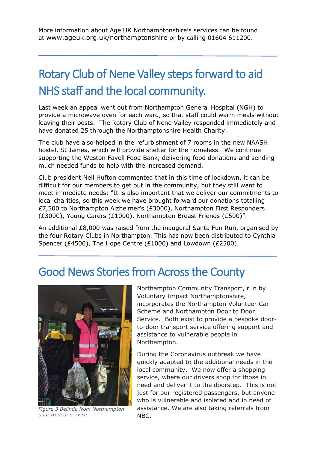More information about Age UK Northamptonshire's services can be found at [www.ageuk.org.uk/northamptonshire](http://www.ageuk.org.uk/northamptonshire) or by calling 01604 611200.

## Rotary Club of Nene Valley steps forward to aid NHS staff and the local community.

Last week an appeal went out from Northampton General Hospital (NGH) to provide a microwave oven for each ward, so that staff could warm meals without leaving their posts. The Rotary Club of Nene Valley responded immediately and have donated 25 through the Northamptonshire Health Charity.

The club have also helped in the refurbishment of 7 rooms in the new NAASH hostel, St James, which will provide shelter for the homeless. We continue supporting the Weston Favell Food Bank, delivering food donations and sending much needed funds to help with the increased demand.

Club president Neil Hufton commented that in this time of lockdown, it can be difficult for our members to get out in the community, but they still want to meet immediate needs: "It is also important that we deliver our commitments to local charities, so this week we have brought forward our donations totalling £7,500 to Northampton Alzheimer's (£3000), Northampton First Responders (£3000), Young Carers (£1000), Northampton Breast Friends (£500)".

An additional £8,000 was raised from the inaugural Santa Fun Run, organised by the four Rotary Clubs in Northampton. This has now been distributed to Cynthia Spencer (£4500), The Hope Centre (£1000) and Lowdown (£2500).

### Good News Stories from Across the County



*Figure 3 Belinda from Northampton door to door service*

Northampton Community Transport, run by Voluntary Impact Northamptonshire, incorporates the Northampton Volunteer Car Scheme and Northampton Door to Door Service. Both exist to provide a bespoke doorto-door transport service offering support and assistance to vulnerable people in Northampton.

During the Coronavirus outbreak we have quickly adapted to the additional needs in the local community. We now offer a shopping service, where our drivers shop for those in need and deliver it to the doorstep. This is not just for our registered passengers, but anyone who is vulnerable and isolated and in need of assistance. We are also taking referrals from NBC.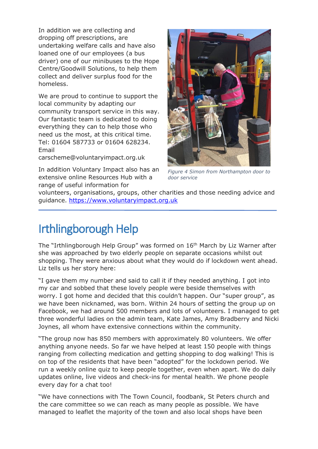In addition we are collecting and dropping off prescriptions, are undertaking welfare calls and have also loaned one of our employees (a bus driver) one of our minibuses to the Hope Centre/Goodwill Solutions, to help them collect and deliver surplus food for the homeless.

We are proud to continue to support the local community by adapting our community transport service in this way. Our fantastic team is dedicated to doing everything they can to help those who need us the most, at this critical time. Tel: 01604 587733 or 01604 628234. Email

carscheme@voluntaryimpact.org.uk

In addition Voluntary Impact also has an extensive online Resources Hub with a range of useful information for



*Figure 4 Simon from Northampton door to door service*

volunteers, organisations, groups, other charities and those needing advice and guidance. [https://www.voluntaryimpact.org.uk](https://www.voluntaryimpact.org.uk/)

### Irthlingborough Help

The "Irthlingborough Help Group" was formed on 16th March by Liz Warner after she was approached by two elderly people on separate occasions whilst out shopping. They were anxious about what they would do if lockdown went ahead. Liz tells us her story here:

"I gave them my number and said to call it if they needed anything. I got into my car and sobbed that these lovely people were beside themselves with worry. I got home and decided that this couldn't happen. Our "super group", as we have been nicknamed, was born. Within 24 hours of setting the group up on Facebook, we had around 500 members and lots of volunteers. I managed to get three wonderful ladies on the admin team, Kate James, Amy Bradberry and Nicki Joynes, all whom have extensive connections within the community.

"The group now has 850 members with approximately 80 volunteers. We offer anything anyone needs. So far we have helped at least 150 people with things ranging from collecting medication and getting shopping to dog walking! This is on top of the residents that have been "adopted" for the lockdown period. We run a weekly online quiz to keep people together, even when apart. We do daily updates online, live videos and check-ins for mental health. We phone people every day for a chat too!

"We have connections with The Town Council, foodbank, St Peters church and the care committee so we can reach as many people as possible. We have managed to leaflet the majority of the town and also local shops have been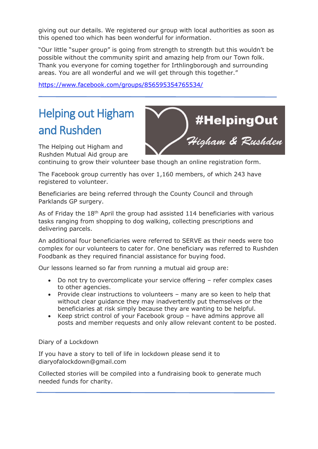giving out our details. We registered our group with local authorities as soon as this opened too which has been wonderful for information.

"Our little "super group" is going from strength to strength but this wouldn't be possible without the community spirit and amazing help from our Town folk. Thank you everyone for coming together for Irthlingborough and surrounding areas. You are all wonderful and we will get through this together."

<https://www.facebook.com/groups/856595354765534/>

## Helping out Higham and Rushden

The Helping out Higham and Rushden Mutual Aid group are

continuing to grow their volunteer base though an online registration form.

4Hel<mark>pingOut)</mark><br>*Higham & Rushden* 

The Facebook group currently has over 1,160 members, of which 243 have registered to volunteer.

Beneficiaries are being referred through the County Council and through Parklands GP surgery.

As of Friday the 18<sup>th</sup> April the group had assisted 114 beneficiaries with various tasks ranging from shopping to dog walking, collecting prescriptions and delivering parcels.

An additional four beneficiaries were referred to SERVE as their needs were too complex for our volunteers to cater for. One beneficiary was referred to Rushden Foodbank as they required financial assistance for buying food.

Our lessons learned so far from running a mutual aid group are:

- Do not try to overcomplicate your service offering refer complex cases to other agencies.
- Provide clear instructions to volunteers many are so keen to help that without clear guidance they may inadvertently put themselves or the beneficiaries at risk simply because they are wanting to be helpful.
- Keep strict control of your Facebook group have admins approve all posts and member requests and only allow relevant content to be posted.

Diary of a Lockdown

If you have a story to tell of life in lockdown please send it to diaryofalockdown@gmail.com

Collected stories will be compiled into a fundraising book to generate much needed funds for charity.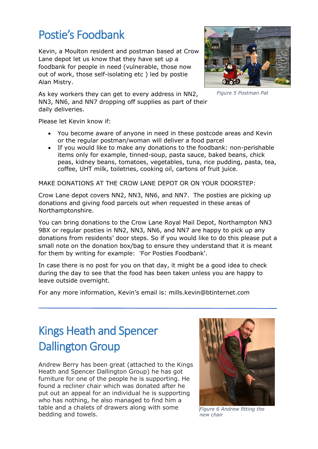### Postie's Foodbank

Kevin, a Moulton resident and postman based at Crow Lane depot let us know that they have set up a foodbank for people in need (vulnerable, those now out of work, those self-isolating etc ) led by postie Alan Mistry.

As key workers they can get to every address in NN2, NN3, NN6, and NN7 dropping off supplies as part of their daily deliveries.



*Figure 5 Postman Pat* 

Please let Kevin know if:

- You become aware of anyone in need in these postcode areas and Kevin or the regular postman/woman will deliver a food parcel
- If you would like to make any donations to the foodbank: non-perishable items only for example, tinned-soup, pasta sauce, baked beans, chick peas, kidney beans, tomatoes, vegetables, tuna, rice pudding, pasta, tea, coffee, UHT milk, toiletries, cooking oil, cartons of fruit juice.

MAKE DONATIONS AT THE CROW LANE DEPOT OR ON YOUR DOORSTEP:

Crow Lane depot covers NN2, NN3, NN6, and NN7. The posties are picking up donations and giving food parcels out when requested in these areas of Northamptonshire.

You can bring donations to the Crow Lane Royal Mail Depot, Northampton NN3 9BX or regular posties in NN2, NN3, NN6, and NN7 are happy to pick up any donations from residents' door steps. So if you would like to do this please put a small note on the donation box/bag to ensure they understand that it is meant for them by writing for example: 'For Posties Foodbank'.

In case there is no post for you on that day, it might be a good idea to check during the day to see that the food has been taken unless you are happy to leave outside overnight.

For any more information, Kevin's email is: mills.kevin@btinternet.com

## Kings Heath and Spencer Dallington Group

Andrew Berry has been great (attached to the Kings Heath and Spencer Dallington Group) he has got furniture for one of the people he is supporting. He found a recliner chair which was donated after he put out an appeal for an individual he is supporting who has nothing, he also managed to find him a table and a chalets of drawers along with some bedding and towels.



*Figure 6 Andrew fitting the new chair*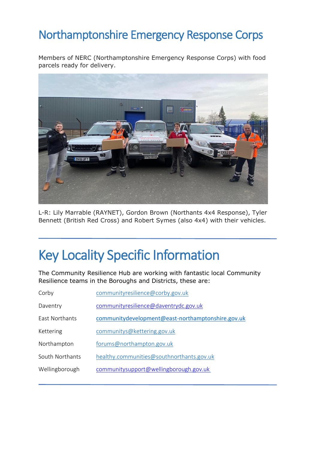### Northamptonshire Emergency Response Corps

Members of NERC (Northamptonshire Emergency Response Corps) with food parcels ready for delivery.



L-R: Lily Marrable (RAYNET), Gordon Brown (Northants 4x4 Response), Tyler Bennett (British Red Cross) and Robert Symes (also 4x4) with their vehicles.

## Key Locality Specific Information

The Community Resilience Hub are working with fantastic local Community Resilience teams in the Boroughs and Districts, these are:

| Corby                 | communityresilience@corby.gov.uk                  |
|-----------------------|---------------------------------------------------|
| Daventry              | communityresilience@daventrydc.gov.uk             |
| <b>Fast Northants</b> | communitydevelopment@east-northamptonshire.gov.uk |
| Kettering             | communitys@kettering.gov.uk                       |
| Northampton           | forums@northampton.gov.uk                         |
| South Northants       | healthy.communities@southnorthants.gov.uk         |
| Wellingborough        | communitysupport@wellingborough.gov.uk            |
|                       |                                                   |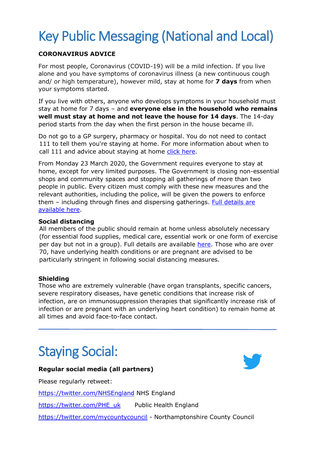# Key Public Messaging (National and Local)

#### **CORONAVIRUS ADVICE**

For most people, Coronavirus (COVID-19) will be a mild infection. If you live alone and you have symptoms of coronavirus illness (a new continuous cough and/ or high temperature), however mild, stay at home for **7 days** from when your symptoms started.

If you live with others, anyone who develops symptoms in your household must stay at home for 7 days – and **everyone else in the household who remains well must stay at home and not leave the house for 14 days**. The 14-day period starts from the day when the first person in the house became ill.

Do not go to a GP surgery, pharmacy or hospital. You do not need to contact 111 to tell them you're staying at home. For more information about when to call 111 and advice about staying at home [click here.](https://www.nhs.uk/conditions/coronavirus-covid-19/)

From Monday 23 March 2020, the Government requires everyone to stay at home, except for very limited purposes. The Government is closing non-essential shops and community spaces and stopping all gatherings of more than two people in public. Every citizen must comply with these new measures and the relevant authorities, including the police, will be given the powers to enforce them – including through fines and dispersing gatherings. [Full details are](https://www.gov.uk/government/publications/full-guidance-on-staying-at-home-and-away-from-others)  [available here.](https://www.gov.uk/government/publications/full-guidance-on-staying-at-home-and-away-from-others)

#### **Social distancing**

All members of the public should remain at home unless absolutely necessary (for essential food supplies, medical care, essential work or one form of exercise per day but not in a group). Full details are available [here.](https://www.gov.uk/government/publications/full-guidance-on-staying-at-home-and-away-from-others) Those who are over 70, have underlying health conditions or are pregnant are advised to be particularly stringent in following social distancing measures.

#### **Shielding**

Those who are extremely vulnerable (have organ transplants, specific cancers, severe respiratory diseases, have genetic conditions that increase risk of infection, are on immunosuppression therapies that significantly increase risk of infection or are pregnant with an underlying heart condition) to remain home at all times and avoid face-to-face contact.

## Staying Social:

#### **Regular social media (all partners)**

Please regularly retweet:

<https://twitter.com/NHSEngland> NHS England

[https://twitter.com/PHE\\_uk](https://twitter.com/PHE_uk) Public Health England

<https://twitter.com/mycountycouncil> - Northamptonshire County Council